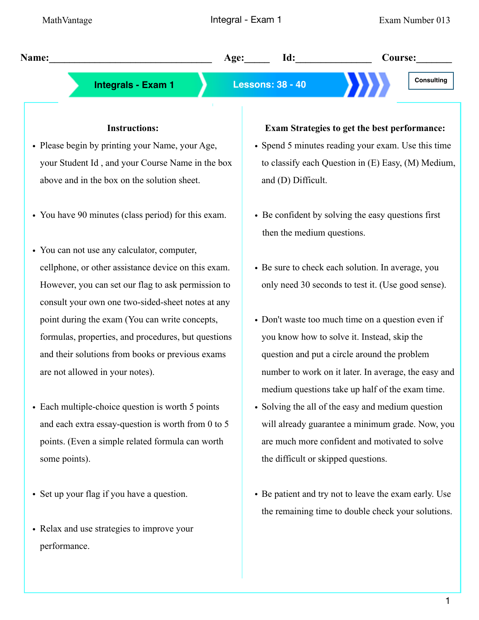**Name:\_\_\_\_\_\_\_\_\_\_\_\_\_\_\_\_\_\_\_\_\_\_\_\_\_\_\_\_\_\_\_\_ Age:\_\_\_\_\_ Id:\_\_\_\_\_\_\_\_\_\_\_\_\_\_\_ Course:\_\_\_\_\_\_\_**

# **Integrals - Exam 1 Lessons: 38 - 40**

## **Instructions:**

- Please begin by printing your Name, your Age, your Student Id , and your Course Name in the box above and in the box on the solution sheet.
- You have 90 minutes (class period) for this exam.
- You can not use any calculator, computer, cellphone, or other assistance device on this exam. However, you can set our flag to ask permission to consult your own one two-sided-sheet notes at any point during the exam (You can write concepts, formulas, properties, and procedures, but questions and their solutions from books or previous exams are not allowed in your notes).
- Each multiple-choice question is worth 5 points and each extra essay-question is worth from 0 to 5 points. (Even a simple related formula can worth some points).
- Set up your flag if you have a question.
- Relax and use strategies to improve your performance.

#### **Exam Strategies to get the best performance:**

- Spend 5 minutes reading your exam. Use this time to classify each Question in (E) Easy, (M) Medium, and (D) Difficult.
- Be confident by solving the easy questions first then the medium questions.
- Be sure to check each solution. In average, you only need 30 seconds to test it. (Use good sense).
- Don't waste too much time on a question even if you know how to solve it. Instead, skip the question and put a circle around the problem number to work on it later. In average, the easy and medium questions take up half of the exam time.
- Solving the all of the easy and medium question will already guarantee a minimum grade. Now, you are much more confident and motivated to solve the difficult or skipped questions.
- Be patient and try not to leave the exam early. Use the remaining time to double check your solutions.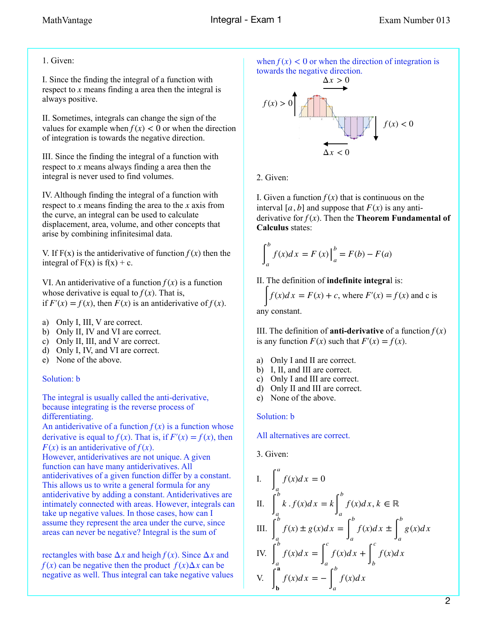## 1. Given:

I. Since the finding the integral of a function with respect to  $x$  means finding a area then the integral is always positive.

II. Sometimes, integrals can change the sign of the values for example when  $f(x) < 0$  or when the direction of integration is towards the negative direction.

III. Since the finding the integral of a function with respect to  $x$  means always finding a area then the integral is never used to find volumes.

IV. Although finding the integral of a function with respect to  $x$  means finding the area to the  $x$  axis from the curve, an integral can be used to calculate displacement, area, volume, and other concepts that arise by combining infinitesimal data.

V. If  $F(x)$  is the antiderivative of function  $f(x)$  then the integral of  $F(x)$  is  $f(x) + c$ .

VI. An antiderivative of a function  $f(x)$  is a function whose derivative is equal to  $f(x)$ . That is, if  $F'(x) = f(x)$ , then  $F(x)$  is an antiderivative of  $f(x)$ .

- a) Only I, III, V are correct.
- b) Only II, IV and VI are correct.
- c) Only II, III, and V are correct.
- d) Only I, IV, and VI are correct.
- e) None of the above.

#### Solution: b

The integral is usually called the anti-derivative, because integrating is the reverse process of differentiating.

An antiderivative of a function  $f(x)$  is a function whose derivative is equal to  $f(x)$ . That is, if  $F'(x) = f(x)$ , then  $F(x)$  is an antiderivative of  $f(x)$ .

However, antiderivatives are not unique. A given function can have many antiderivatives. All antiderivatives of a given function differ by a constant. This allows us to write a general formula for any antiderivative by adding a constant. Antiderivatives are intimately connected with areas. However, integrals can take up negative values. In those cases, how can I assume they represent the area under the curve, since areas can never be negative? Integral is the sum of

rectangles with base  $\Delta x$  and heigh  $f(x)$ . Since  $\Delta x$  and *f*(*x*) can be negative then the product  $f(x) \Delta x$  can be negative as well. Thus integral can take negative values

when  $f(x) < 0$  or when the direction of integration is towards the negative direction.



2. Given:

I. Given a function  $f(x)$  that is continuous on the interval [a, b] and suppose that  $F(x)$  is any antiderivative for  $f(x)$ . Then the **Theorem Fundamental of Calculus** states:

$$
\int_{a}^{b} f(x)dx = F(x)\Big|_{a}^{b} = F(b) - F(a)
$$

II. The definition of **indefinite integra**l is:

 $\int f(x)dx = F(x) + c$ , where  $F'(x) = f(x)$  and c is any constant.

III. The definition of **anti-derivative** of a function  $f(x)$ is any function  $F(x)$  such that  $F'(x) = f(x)$ .

- a) Only I and II are correct.
- b) I, II, and III are correct.
- c) Only I and III are correct.
- d) Only II and III are correct.
- e) None of the above.

Solution: b

All alternatives are correct.

3. Given:

I. 
$$
\int_{a}^{a} f(x)dx = 0
$$
  
\nII. 
$$
\int_{a}^{b} k \cdot f(x)dx = k \int_{a}^{b} f(x)dx, k \in \mathbb{R}
$$
  
\nIII. 
$$
\int_{a}^{b} f(x) \pm g(x)dx = \int_{a}^{b} f(x)dx \pm \int_{a}^{b} g(x)dx
$$
  
\nIV. 
$$
\int_{a}^{b} f(x)dx = \int_{a}^{c} f(x)dx + \int_{b}^{c} f(x)dx
$$
  
\nV. 
$$
\int_{b}^{a} f(x)dx = -\int_{a}^{b} f(x)dx
$$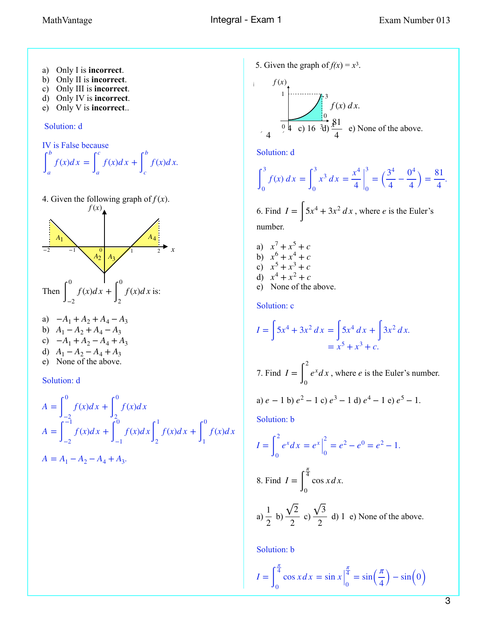- a) Only I is **incorrect**.
- b) Only II is **incorrect**.
- c) Only III is **incorrect**.
- d) Only IV is **incorrect**.
- e) Only V is **incorrect**..

#### Solution: d

IV is False because  
\n
$$
\int_{a}^{b} f(x)dx = \int_{a}^{c} f(x)dx + \int_{c}^{b} f(x)dx.
$$

4. Given the following graph of  $f(x)$ .



- a)  $-A_1 + A_2 + A_4 A_3$ b)  $A_1 - A_2 + A_4 - A_3$ c)  $-A_1 + A_2 - A_4 + A_3$
- d)  $A_1 A_2 A_4 + A_3$ e) None of the above.

Solution: d

$$
A = \int_{-2}^{0} f(x)dx + \int_{2}^{0} f(x)dx
$$
  
\n
$$
A = \int_{-2}^{-1} f(x)dx + \int_{-1}^{0} f(x)dx + \int_{2}^{1} f(x)dx + \int_{1}^{0} f(x)dx
$$
  
\n
$$
A = A_{1} - A_{2} - A_{4} + A_{3}.
$$

5. Given the graph of  $f(x) = x^3$ .

$$
f(x)
$$
  
\n1  
\n1  
\n3  
\n $f(x) dx$ .  
\n9  
\n $9$   
\n $2$   
\n $9$   
\n $1$   
\n $9$   
\n $1$   
\n $9$   
\n $1$   
\n $1$   
\n $9$   
\n $1$   
\n $1$   
\n $1$   
\n $1$   
\n $1$   
\n $1$   
\n $1$   
\n $1$   
\n $1$   
\n $1$   
\n $1$   
\n $1$   
\n $1$   
\n $1$   
\n $1$   
\n $1$   
\n $1$   
\n $1$   
\n $1$   
\n $1$   
\n $1$   
\n $1$   
\n $1$   
\n $1$   
\n $1$   
\n $1$   
\n $1$   
\n $1$   
\n $1$   
\n $1$   
\n $1$   
\n $1$   
\n $1$   
\n $1$   
\n $1$   
\n $1$   
\n $1$   
\n $1$   
\n $1$   
\n $1$   
\n $1$   
\n $1$   
\n $1$   
\n $1$   
\n $1$   
\n $1$   
\n $1$   
\n $1$   
\n $1$   
\n $1$   
\n $1$   
\n $1$   
\n $1$   
\n $1$   
\n $1$   
\n $1$   
\n $1$   
\n $1$   
\n $1$   
\n $1$   
\n $1$   
\n $1$   
\n $1$ 

Solution: d

$$
\int_0^3 f(x) \, dx = \int_0^3 x^3 \, dx = \frac{x^4}{4} \bigg|_0^3 = \left(\frac{3^4}{4} - \frac{0^4}{4}\right) = \frac{81}{4}.
$$

6. Find  $I = \int 5x^4 + 3x^2 dx$ , where *e* is the Euler's number.

- a)  $x^7 + x^5 + c$ b) c) d)  $x^7 + x^5 + c$  $x^6 + x^4 + c$  $x^5 + x^3 + c$  $x^4 + x^2 + c$
- e) None of the above.

Solution: c

$$
I = \int 5x^4 + 3x^2 dx = \int 5x^4 dx + \int 3x^2 dx.
$$
  
=  $x^5 + x^3 + c.$ 

7. Find  $I = \int_0^x e^x dx$ , where *e* is the Euler's number. 2 0  $e^x dx$ , where *e* 

a) 
$$
e - 1
$$
 b)  $e^2 - 1$  c)  $e^3 - 1$  d)  $e^4 - 1$  e)  $e^5 - 1$ .

Solution: b

$$
I = \int_0^2 e^x dx = e^x \Big|_0^2 = e^2 - e^0 = e^2 - 1.
$$
  
8. Find  $I = \int_0^{\frac{\pi}{4}} \cos x dx$ .

a) 
$$
\frac{1}{2}
$$
 b)  $\frac{\sqrt{2}}{2}$  c)  $\frac{\sqrt{3}}{2}$  d) 1 e) None of the above.

Solution: b

$$
I = \int_0^{\frac{\pi}{4}} \cos x \, dx = \sin x \Big|_0^{\frac{\pi}{4}} = \sin \Big( \frac{\pi}{4} \Big) - \sin \Big( 0 \Big)
$$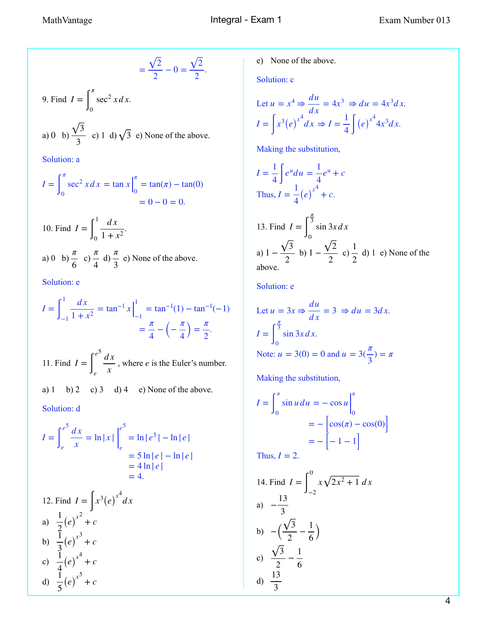$$
=\frac{\sqrt{2}}{2}-0=\frac{\sqrt{2}}{2}.
$$

9. Find  $I = \int_0^1 \sec^2 x dx$ . *π* 0  $\sec^2 x dx$ 

a) 0 b) 
$$
\frac{\sqrt{3}}{3}
$$
 c) 1 d)  $\sqrt{3}$  e) None of the above.

Solution: a

$$
I = \int_0^{\pi} \sec^2 x \, dx = \tan x \Big|_0^{\pi} = \tan(\pi) - \tan(0) = 0 - 0 = 0.
$$

10. Find 
$$
I = \int_0^1 \frac{dx}{1 + x^2}
$$
.  
a) 0 b)  $\frac{\pi}{6}$  c)  $\frac{\pi}{4}$  d)  $\frac{\pi}{3}$  e) None of the above.

Solution: e

$$
I = \int_{-1}^{1} \frac{dx}{1 + x^2} = \tan^{-1} x \Big|_{-1}^{1} = \tan^{-1}(1) - \tan^{-1}(-1)
$$

$$
= \frac{\pi}{4} - \left(-\frac{\pi}{4}\right) = \frac{\pi}{2}.
$$

11. Find  $I = \int_{x}^{x} \frac{du}{x}$ , where *e* is the Euler's number. *e*5 *e d x x e*

a) 1 b) 2 c) 3 d) 4 e) None of the above.

Solution: d

$$
I = \int_{e}^{e^{5}} \frac{dx}{x} = \ln|x| \Big|_{e}^{e^{5}} = \ln|e^{5}| - \ln|e|
$$
  
= 5 \ln|e| - \ln|e|  
= 4 \ln|e|  
= 4.

12. Find 
$$
I = \int x^3 (e)^{x^4} dx
$$
  
\na)  $\frac{1}{2} (e)^{x^2} + c$   
\nb)  $\frac{1}{3} (e)^{x^3} + c$   
\nc)  $\frac{1}{4} (e)^{x^4} + c$   
\nd)  $\frac{1}{5} (e)^{x^5} + c$ 

e) None of the above.

Solution: c

Let 
$$
u = x^4 \Rightarrow \frac{du}{dx} = 4x^3 \Rightarrow du = 4x^3 dx
$$
.  
\n
$$
I = \int x^3 (e)^{x^4} dx \Rightarrow I = \frac{1}{4} \int (e)^{x^4} 4x^3 dx
$$
.

Making the substitution,

$$
I = \frac{1}{4} \int e^u du = \frac{1}{4} e^u + c
$$
  
Thus, 
$$
I = \frac{1}{4} (e)^{x^4} + c.
$$

13. Find 
$$
I = \int_0^{\frac{\pi}{3}} \sin 3x dx
$$
  
a)  $1 - \frac{\sqrt{3}}{2}$  b)  $1 - \frac{\sqrt{2}}{2}$  c)  $\frac{1}{2}$  d) 1 e) None of the above.

Solution: e

Let 
$$
u = 3x \Rightarrow \frac{du}{dx} = 3 \Rightarrow du = 3dx
$$
.  
\n
$$
I = \int_0^{\frac{\pi}{3}} \sin 3x dx
$$
\nNote:  $u = 3(0) = 0$  and  $u = 3(\frac{\pi}{3}) = \pi$ 

Making the substitution,

$$
I = \int_0^{\pi} \sin u \, du = -\cos u \Big|_0^{\pi}
$$

$$
= -\left[\cos(\pi) - \cos(0)\right]
$$

$$
= -\left[-1 - 1\right]
$$

Thus, 
$$
I = 2
$$
.

14. Find 
$$
I = \int_{-2}^{0} x\sqrt{2x^2 + 1} dx
$$
  
\na)  $-\frac{13}{3}$   
\nb)  $-(\frac{\sqrt{3}}{2} - \frac{1}{6})$   
\nc)  $\frac{\sqrt{3}}{2} - \frac{1}{6}$   
\nd)  $\frac{13}{3}$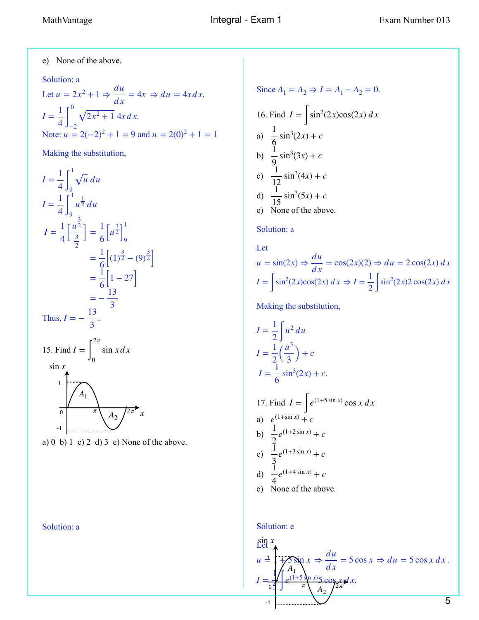e) None of the above.

#### Solution: a

Let  $u = 2x^2 + 1 \Rightarrow \frac{du}{dx} = 4x \Rightarrow du = 4x dx$ . . Note:  $\frac{du}{dx} = 4x \Rightarrow du = 4x dx$  $I = \frac{1}{4}$ 4 ∫ 0  $-2$  $2x^2 + 14x dx$  $u = 2(-2)^2 + 1 = 9$  and  $u = 2(0)^2 + 1 = 1$ 

Making the substitution,

$$
I = \frac{1}{4} \int_{9}^{1} \sqrt{u} \, du
$$
  
\n
$$
I = \frac{1}{4} \int_{9}^{1} u^{\frac{1}{2}} \, du
$$
  
\n
$$
I = \frac{1}{4} \left[ \frac{u^{\frac{3}{2}}}{\frac{3}{2}} \right] = \frac{1}{6} \left[ u^{\frac{3}{2}} \right]_{9}^{1}
$$
  
\n
$$
= \frac{1}{6} \left[ (1)^{\frac{3}{2}} - (9)^{\frac{3}{2}} \right]
$$
  
\n
$$
= \frac{1}{6} \left[ 1 - 27 \right]
$$
  
\n
$$
= -\frac{13}{3}.
$$
  
\nThus,  $I = -\frac{13}{3}.$   
\n15. Find  $I = \int_{0}^{2\pi} \sin x \, dx$   
\n
$$
\sin x
$$
  
\n
$$
\frac{1}{2} \int_{0}^{2\pi} \frac{1}{\sqrt{1 - \left( \frac{3}{2} \right)^{2\pi}} \, dx}
$$

a) 0 b) 1 c) 2 d) 3 e) None of the above.

Solution: a

Since 
$$
A_1 = A_2 \Rightarrow I = A_1 - A_2 = 0
$$
.  
\n16. Find  $I = \int \sin^2(2x)\cos(2x) dx$   
\na)  $\frac{1}{6} \sin^3(2x) + c$   
\nb)  $\frac{1}{9} \sin^3(3x) + c$   
\nc)  $\frac{1}{12} \sin^3(4x) + c$   
\nd)  $\frac{1}{15} \sin^3(5x) + c$   
\ne) None of the above.

#### Solution: a

Let  
\n
$$
u = \sin(2x) \Rightarrow \frac{du}{dx} = \cos(2x)(2) \Rightarrow du = 2\cos(2x) dx
$$
\n
$$
I = \int \sin^2(2x)\cos(2x) dx \Rightarrow I = \frac{1}{2}\int \sin^2(2x)2\cos(2x) dx
$$

Making the substitution,

$$
I = \frac{1}{2} \int u^2 du
$$
  
\n
$$
I = \frac{1}{2} (\frac{u^3}{3}) + c
$$
  
\n
$$
I = \frac{1}{6} \sin^3(2x) + c.
$$
  
\n17. Find  $I = \int e^{(1+5 \sin x)} \cos x dx$   
\na)  $e^{(1+\sin x)} + c$   
\nb)  $\frac{1}{2} e^{(1+2 \sin x)} + c$   
\nc)  $\frac{1}{3} e^{(1+3 \sin x)} + c$   
\nd)  $\frac{1}{4} e^{(1+4 \sin x)} + c$   
\ne) None of the above.

#### Solution: e

$$
\lim_{u \to 0} \frac{1}{u} = \lim_{\substack{x \to 0 \\ a \to 0}} \frac{1}{\lim_{h \to 0} x} = \lim_{\substack{x \to 0 \\ x \to 0}} \frac{1}{h} = \lim_{h \to 0} \frac{1}{h} = 5 \cos x \Rightarrow du = 5 \cos x \, dx.
$$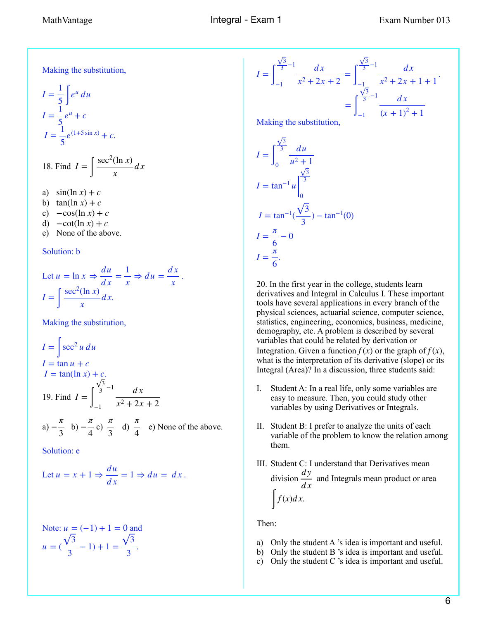Making the substitution,

$$
I = \frac{1}{5} \int e^u du
$$
  
\n
$$
I = \frac{1}{5} e^u + c
$$
  
\n
$$
I = \frac{1}{5} e^{(1+5\sin x)} + c.
$$
  
\n18. Find  $I = \int \sec^2(\ln x)$ 

18. Find 
$$
I = \int \frac{\sec^2(\ln x)}{x} dx
$$

a)  $\sin(\ln x) + c$ b)  $\tan(\ln x) + c$ c)  $-\cos(\ln x) + c$ d)  $-\cot(\ln x) + c$ e) None of the above.

#### Solution: b

Let 
$$
u = \ln x \Rightarrow \frac{du}{dx} = \frac{1}{x} \Rightarrow du = \frac{dx}{x}
$$
.  
\n
$$
I = \int \frac{\sec^2(\ln x)}{x} dx.
$$

Making the substitution,

$$
I = \int \sec^2 u \, du
$$
  
\n
$$
I = \tan u + c
$$
  
\n
$$
I = \tan(\ln x) + c.
$$
  
\n19. Find  $I = \int_{-1}^{\frac{\sqrt{3}}{3} - 1} \frac{dx}{x^2 + 2x + 2}$ 

a) 
$$
-\frac{\pi}{3}
$$
 b)  $-\frac{\pi}{4}$  c)  $\frac{\pi}{3}$  d)  $\frac{\pi}{4}$  e) None of the above.

Solution: e

Let 
$$
u = x + 1 \Rightarrow \frac{du}{dx} = 1 \Rightarrow du = dx
$$
.

Note: 
$$
u = (-1) + 1 = 0
$$
 and  
\n
$$
u = (\frac{\sqrt{3}}{3} - 1) + 1 = \frac{\sqrt{3}}{3}.
$$

$$
I = \int_{-1}^{\frac{\sqrt{3}}{3}-1} \frac{dx}{x^2 + 2x + 2} = \int_{-1}^{\frac{\sqrt{3}}{3}-1} \frac{dx}{x^2 + 2x + 1 + 1}.
$$

$$
= \int_{-1}^{\frac{\sqrt{3}}{3}-1} \frac{dx}{(x+1)^2 + 1}
$$

Making the substitution,

$$
I = \int_0^{\frac{\sqrt{3}}{3}} \frac{du}{u^2 + 1}
$$
  
\n
$$
I = \tan^{-1} u \Big|_0^{\frac{\sqrt{3}}{3}}
$$
  
\n
$$
I = \tan^{-1} (\frac{\sqrt{3}}{3}) - \tan^{-1}(0)
$$
  
\n
$$
I = \frac{\pi}{6} - 0
$$
  
\n
$$
I = \frac{\pi}{6}.
$$

20. In the first year in the college, students learn derivatives and Integral in Calculus I. These important tools have several applications in every branch of the physical sciences, actuarial science, computer science, statistics, engineering, economics, business, medicine, demography, etc. A problem is described by several variables that could be related by derivation or Integration. Given a function  $f(x)$  or the graph of  $f(x)$ , what is the interpretation of its derivative (slope) or its Integral (Area)? In a discussion, three students said:

- I. Student A: In a real life, only some variables are easy to measure. Then, you could study other variables by using Derivatives or Integrals.
- II. Student B: I prefer to analyze the units of each variable of the problem to know the relation among them.
- III. Student C: I understand that Derivatives mean division  $\frac{dy}{dx}$  and Integrals mean product or area  $\int f(x)dx$ . *d x*

Then:

- a) Only the student A 's idea is important and useful.
- b) Only the student B 's idea is important and useful.
- c) Only the student C 's idea is important and useful.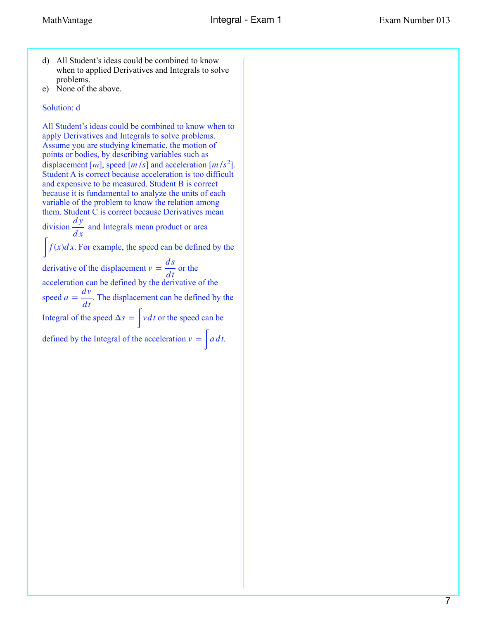- d) All Student's ideas could be combined to know when to applied Derivatives and Integrals to solve problems.
- e) None of the above.

# Solution: d

All Student's ideas could be combined to know when to apply Derivatives and Integrals to solve problems. Assume you are studying kinematic, the motion of points or bodies, by describing variables such as displacement [*m*], speed [*m* /*s*] and acceleration [*m* /*s*<sup>2</sup>]. Student A is correct because acceleration is too difficult and expensive to be measured. Student B is correct because it is fundamental to analyze the units of each variable of the problem to know the relation among them. Student C is correct because Derivatives mean division  $\frac{dy}{dx}$  and Integrals mean product or area  $\int f(x)dx$ . For example, the speed can be defined by the derivative of the displacement  $v = \frac{ds}{dt}$  or the acceleration can be defined by the derivative of the speed  $a = \frac{dv}{dt}$ . The displacement can be defined by the Integral of the speed  $\Delta s = \frac{\Delta s}{s}$  *vdt* or the speed can be defined by the Integral of the acceleration  $v = \int a \, dt$ . *d x dt dt*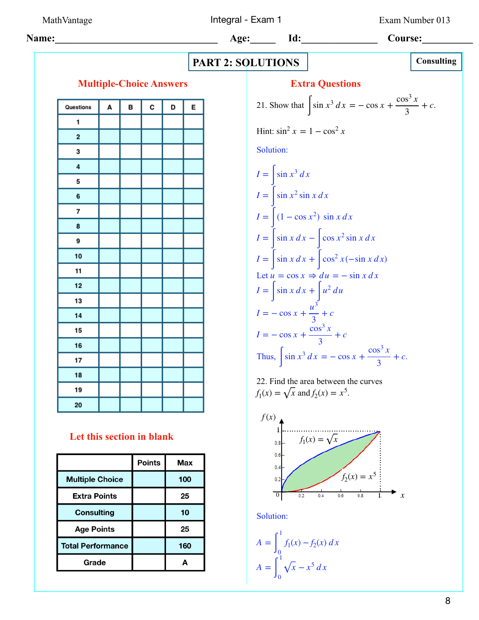MathVantage **Integral - Exam 1** Exam Number 013

 **Name:\_\_\_\_\_\_\_\_\_\_\_\_\_\_\_\_\_\_\_\_\_\_\_\_\_\_\_\_\_\_\_\_ Age:\_\_\_\_\_ Id:\_\_\_\_\_\_\_\_\_\_\_\_\_\_\_ Course:\_\_\_\_\_\_\_\_\_\_ PART 2: SOLUTIONS Multiple-Choice Answers Extra Questions**  $\cos^3 x$ 21. Show that  $\int \sin x^3 dx = -\cos x + \frac{\cos^2 x}{3} + c$ . E + *c* Questions A в C D 3  $\mathbf{1}$ Hint:  $\sin^2 x = 1 - \cos^2 x$  $\overline{\mathbf{2}}$ Solution: 3  $\overline{4}$  $I = \int \sin x^3 dx$ 5  $I = \int \sin x^2 \sin x \, dx$ 6  $I = \left( (1 - \cos x^2) \sin x \, dx \right)$  $\overline{7}$ 8  $I = \int \sin x \, dx - \int \cos x^2 \sin x \, dx$ 9  $I = \int \sin x \, dx + \int \cos^2 x (-\sin x \, dx)$ 10  $11$ Let  $u = \cos x \Rightarrow du = -\sin x dx$  $12$  $I = \int \sin x \, dx + \int u^2 \, du$ 13 *u*3  $I = -\cos x +$ + *c* 14 3  $\cos^3 x$ 15  $I = -\cos x +$ + *c* 3 16  $\cos^3 x$ Thus,  $\int \sin x^3 dx = -\cos x + \frac{\cos^3 x}{3} + c$ . + *c* 17 3 18 22. Find the area between the curves 19  $f_1(x) = \sqrt{x}$  and  $f_2(x) = x^5$ . 20

# **Let this section in blank**

|                          | <b>Points</b> | Max |
|--------------------------|---------------|-----|
| <b>Multiple Choice</b>   |               | 100 |
| <b>Extra Points</b>      |               | 25  |
| <b>Consulting</b>        |               | 10  |
| <b>Age Points</b>        |               | 25  |
| <b>Total Performance</b> |               | 160 |
| Grade                    |               | Δ   |

*x f* 2(*x*) = *x*<sup>5</sup> *f* 1(*x*) = *x* 0 1 1 *f* (*x*) *x*

Solution:

$$
A = \int_0^1 f_1(x) - f_2(x) dx
$$
  

$$
A = \int_0^1 \sqrt{x} - x^5 dx
$$